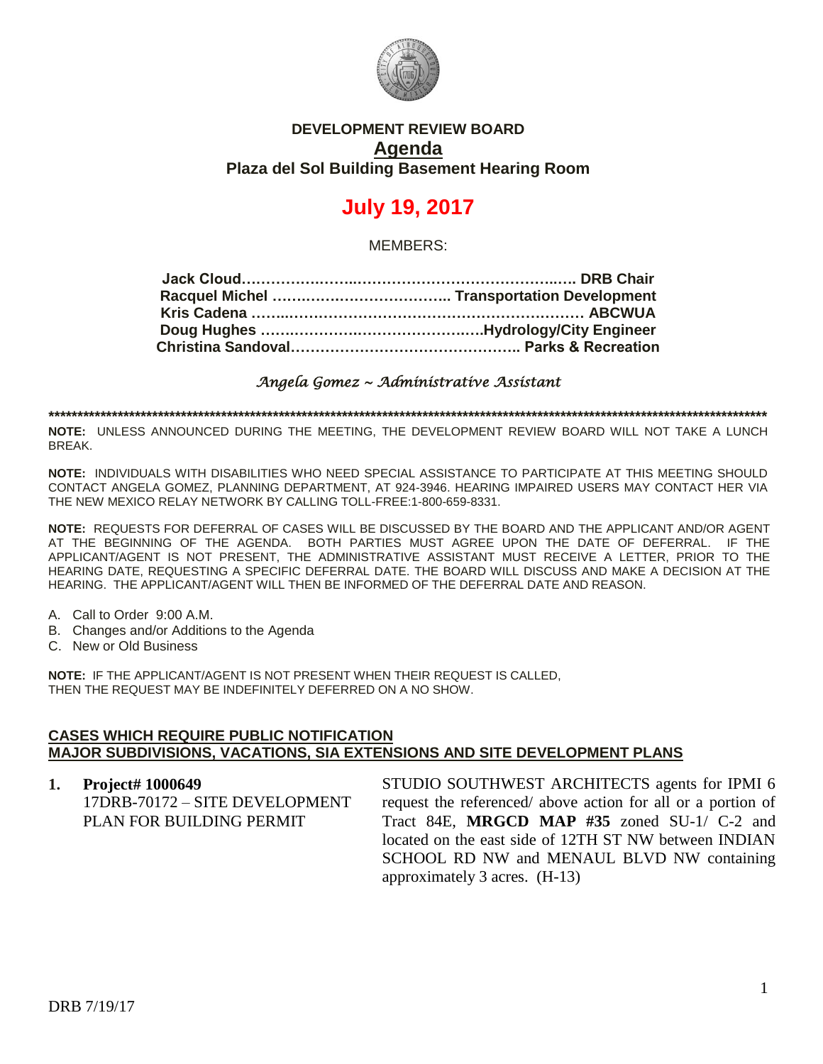

# **DEVELOPMENT REVIEW BOARD Agenda Plaza del Sol Building Basement Hearing Room**

# **July 19, 2017**

MEMBERS:

*Angela Gomez ~ Administrative Assistant* 

**\*\*\*\*\*\*\*\*\*\*\*\*\*\*\*\*\*\*\*\*\*\*\*\*\*\*\*\*\*\*\*\*\*\*\*\*\*\*\*\*\*\*\*\*\*\*\*\*\*\*\*\*\*\*\*\*\*\*\*\*\*\*\*\*\*\*\*\*\*\*\*\*\*\*\*\*\*\*\*\*\*\*\*\*\*\*\*\*\*\*\*\*\*\*\*\*\*\*\*\*\*\*\*\*\*\*\*\*\*\*\*\*\*\*\*\*\*\*\*\*\*\*\*\*\***

**NOTE:** UNLESS ANNOUNCED DURING THE MEETING, THE DEVELOPMENT REVIEW BOARD WILL NOT TAKE A LUNCH BREAK.

**NOTE:** INDIVIDUALS WITH DISABILITIES WHO NEED SPECIAL ASSISTANCE TO PARTICIPATE AT THIS MEETING SHOULD CONTACT ANGELA GOMEZ, PLANNING DEPARTMENT, AT 924-3946. HEARING IMPAIRED USERS MAY CONTACT HER VIA THE NEW MEXICO RELAY NETWORK BY CALLING TOLL-FREE:1-800-659-8331.

**NOTE:** REQUESTS FOR DEFERRAL OF CASES WILL BE DISCUSSED BY THE BOARD AND THE APPLICANT AND/OR AGENT AT THE BEGINNING OF THE AGENDA. BOTH PARTIES MUST AGREE UPON THE DATE OF DEFERRAL. IF THE APPLICANT/AGENT IS NOT PRESENT, THE ADMINISTRATIVE ASSISTANT MUST RECEIVE A LETTER, PRIOR TO THE HEARING DATE, REQUESTING A SPECIFIC DEFERRAL DATE. THE BOARD WILL DISCUSS AND MAKE A DECISION AT THE HEARING. THE APPLICANT/AGENT WILL THEN BE INFORMED OF THE DEFERRAL DATE AND REASON.

- A. Call to Order 9:00 A.M.
- B. Changes and/or Additions to the Agenda
- C. New or Old Business

**NOTE:** IF THE APPLICANT/AGENT IS NOT PRESENT WHEN THEIR REQUEST IS CALLED, THEN THE REQUEST MAY BE INDEFINITELY DEFERRED ON A NO SHOW.

#### **CASES WHICH REQUIRE PUBLIC NOTIFICATION MAJOR SUBDIVISIONS, VACATIONS, SIA EXTENSIONS AND SITE DEVELOPMENT PLANS**

**1. Project# 1000649** 17DRB-70172 – SITE DEVELOPMENT PLAN FOR BUILDING PERMIT STUDIO SOUTHWEST ARCHITECTS agents for IPMI 6 request the referenced/ above action for all or a portion of Tract 84E, **MRGCD MAP #35** zoned SU-1/ C-2 and located on the east side of 12TH ST NW between INDIAN SCHOOL RD NW and MENAUL BLVD NW containing approximately 3 acres. (H-13)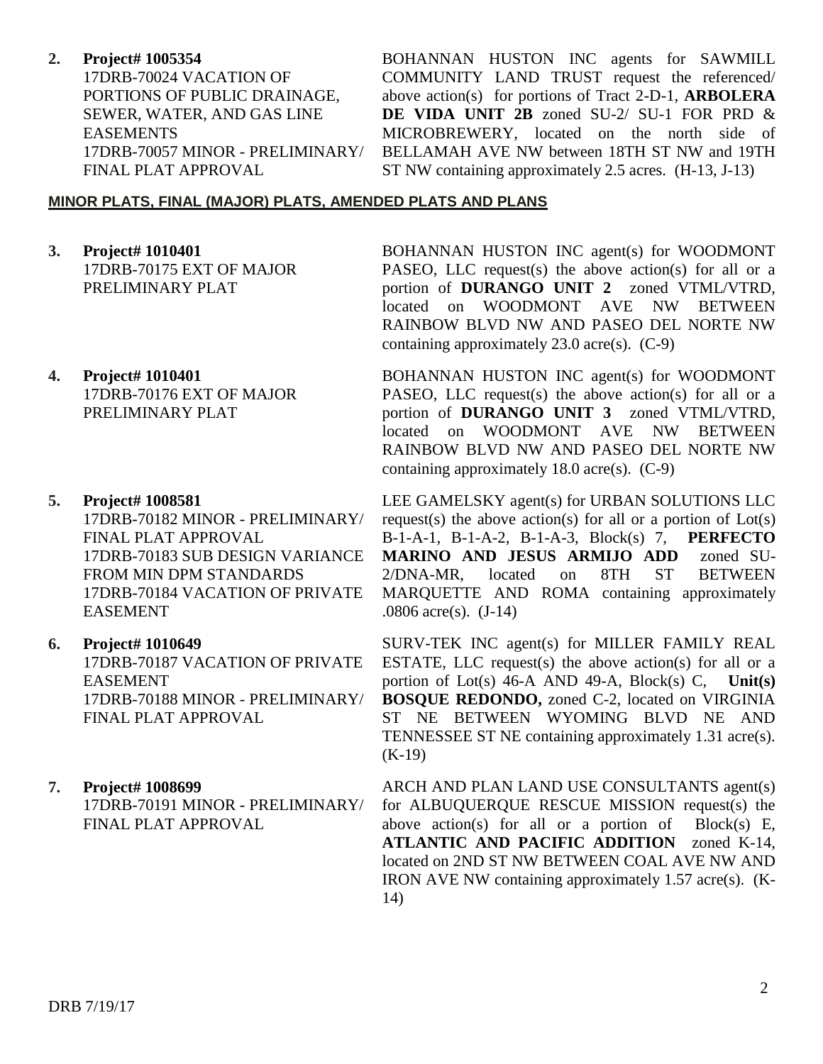#### **2. Project# 1005354**

17DRB-70024 VACATION OF PORTIONS OF PUBLIC DRAINAGE, SEWER, WATER, AND GAS LINE EASEMENTS 17DRB-70057 MINOR - PRELIMINARY/ FINAL PLAT APPROVAL

BOHANNAN HUSTON INC agents for SAWMILL COMMUNITY LAND TRUST request the referenced/ above action(s) for portions of Tract 2-D-1, **ARBOLERA DE VIDA UNIT 2B** zoned SU-2/ SU-1 FOR PRD & MICROBREWERY, located on the north side of BELLAMAH AVE NW between 18TH ST NW and 19TH ST NW containing approximately 2.5 acres. (H-13, J-13)

### **MINOR PLATS, FINAL (MAJOR) PLATS, AMENDED PLATS AND PLANS**

- **3. Project# 1010401** 17DRB-70175 EXT OF MAJOR PRELIMINARY PLAT
- **4. Project# 1010401** 17DRB-70176 EXT OF MAJOR PRELIMINARY PLAT
- **5. Project# 1008581** 17DRB-70182 MINOR - PRELIMINARY/ FINAL PLAT APPROVAL 17DRB-70183 SUB DESIGN VARIANCE FROM MIN DPM STANDARDS 17DRB-70184 VACATION OF PRIVATE EASEMENT

#### **6. Project# 1010649**

17DRB-70187 VACATION OF PRIVATE EASEMENT 17DRB-70188 MINOR - PRELIMINARY/ FINAL PLAT APPROVAL

## **7. Project# 1008699**

17DRB-70191 MINOR - PRELIMINARY/ FINAL PLAT APPROVAL

BOHANNAN HUSTON INC agent(s) for WOODMONT PASEO, LLC request(s) the above action(s) for all or a portion of **DURANGO UNIT 2** zoned VTML/VTRD, located on WOODMONT AVE NW BETWEEN RAINBOW BLVD NW AND PASEO DEL NORTE NW containing approximately  $23.0$  acre(s).  $(C-9)$ 

BOHANNAN HUSTON INC agent(s) for WOODMONT PASEO, LLC request(s) the above action(s) for all or a portion of **DURANGO UNIT 3** zoned VTML/VTRD, located on WOODMONT AVE NW BETWEEN RAINBOW BLVD NW AND PASEO DEL NORTE NW containing approximately 18.0 acre(s). (C-9)

LEE GAMELSKY agent(s) for URBAN SOLUTIONS LLC request(s) the above action(s) for all or a portion of  $Lot(s)$ B-1-A-1, B-1-A-2, B-1-A-3, Block(s) 7, **PERFECTO MARINO AND JESUS ARMIJO ADD** zoned SU-2/DNA-MR, located on 8TH ST BETWEEN MARQUETTE AND ROMA containing approximately .0806 acre(s). (J-14)

SURV-TEK INC agent(s) for MILLER FAMILY REAL ESTATE, LLC request(s) the above action(s) for all or a portion of Lot(s) 46-A AND 49-A, Block(s) C, **Unit(s) BOSQUE REDONDO,** zoned C-2, located on VIRGINIA ST NE BETWEEN WYOMING BLVD NE AND TENNESSEE ST NE containing approximately 1.31 acre(s). (K-19)

ARCH AND PLAN LAND USE CONSULTANTS agent(s) for ALBUQUERQUE RESCUE MISSION request(s) the above action(s) for all or a portion of Block(s) E, **ATLANTIC AND PACIFIC ADDITION** zoned K-14, located on 2ND ST NW BETWEEN COAL AVE NW AND IRON AVE NW containing approximately 1.57 acre(s). (K-14)